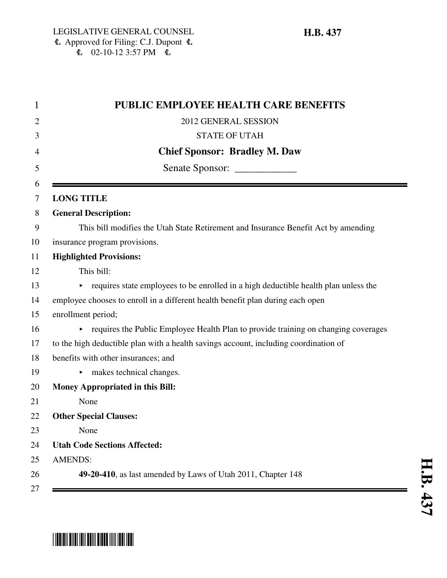| <b>PUBLIC EMPLOYEE HEALTH CARE BENEFITS</b>                                           |
|---------------------------------------------------------------------------------------|
| 2012 GENERAL SESSION                                                                  |
| <b>STATE OF UTAH</b>                                                                  |
| <b>Chief Sponsor: Bradley M. Daw</b>                                                  |
| Senate Sponsor: _______________                                                       |
| <b>LONG TITLE</b>                                                                     |
| <b>General Description:</b>                                                           |
| This bill modifies the Utah State Retirement and Insurance Benefit Act by amending    |
| insurance program provisions.                                                         |
| <b>Highlighted Provisions:</b>                                                        |
| This bill:                                                                            |
| • requires state employees to be enrolled in a high deductible health plan unless the |
| employee chooses to enroll in a different health benefit plan during each open        |
| enrollment period;                                                                    |
| • requires the Public Employee Health Plan to provide training on changing coverages  |
| to the high deductible plan with a health savings account, including coordination of  |
| benefits with other insurances; and                                                   |
| makes technical changes.                                                              |
| Money Appropriated in this Bill:                                                      |
| None                                                                                  |
| <b>Other Special Clauses:</b>                                                         |
| None                                                                                  |
| <b>Utah Code Sections Affected:</b>                                                   |
| <b>AMENDS:</b>                                                                        |
| 49-20-410, as last amended by Laws of Utah 2011, Chapter 148                          |

## \*HB0437\*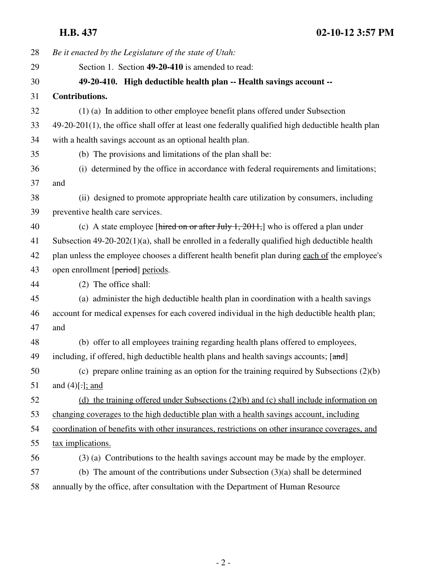**H.B. 437 02-10-12 3:57 PM**

| 28 | Be it enacted by the Legislature of the state of Utah:                                               |
|----|------------------------------------------------------------------------------------------------------|
| 29 | Section 1. Section 49-20-410 is amended to read:                                                     |
| 30 | 49-20-410. High deductible health plan -- Health savings account --                                  |
| 31 | <b>Contributions.</b>                                                                                |
| 32 | (1) (a) In addition to other employee benefit plans offered under Subsection                         |
| 33 | $49-20-201(1)$ , the office shall offer at least one federally qualified high deductible health plan |
| 34 | with a health savings account as an optional health plan.                                            |
| 35 | (b) The provisions and limitations of the plan shall be:                                             |
| 36 | (i) determined by the office in accordance with federal requirements and limitations;                |
| 37 | and                                                                                                  |
| 38 | (ii) designed to promote appropriate health care utilization by consumers, including                 |
| 39 | preventive health care services.                                                                     |
| 40 | (c) A state employee [hired on or after July 1, 2011,] who is offered a plan under                   |
| 41 | Subsection $49-20-202(1)(a)$ , shall be enrolled in a federally qualified high deductible health     |
| 42 | plan unless the employee chooses a different health benefit plan during each of the employee's       |
| 43 | open enrollment [period] periods.                                                                    |
| 44 | (2) The office shall:                                                                                |
| 45 | (a) administer the high deductible health plan in coordination with a health savings                 |
| 46 | account for medical expenses for each covered individual in the high deductible health plan;         |
| 47 | and                                                                                                  |
| 48 | (b) offer to all employees training regarding health plans offered to employees,                     |
| 49 | including, if offered, high deductible health plans and health savings accounts; [and]               |
| 50 | (c) prepare online training as an option for the training required by Subsections $(2)(b)$           |
| 51 | and $(4)$ [.]; and                                                                                   |
| 52 | (d) the training offered under Subsections $(2)(b)$ and $(c)$ shall include information on           |
| 53 | changing coverages to the high deductible plan with a health savings account, including              |
| 54 | coordination of benefits with other insurances, restrictions on other insurance coverages, and       |
| 55 | tax implications.                                                                                    |
| 56 | (3) (a) Contributions to the health savings account may be made by the employer.                     |
| 57 | (b) The amount of the contributions under Subsection $(3)(a)$ shall be determined                    |
| 58 | annually by the office, after consultation with the Department of Human Resource                     |
|    |                                                                                                      |